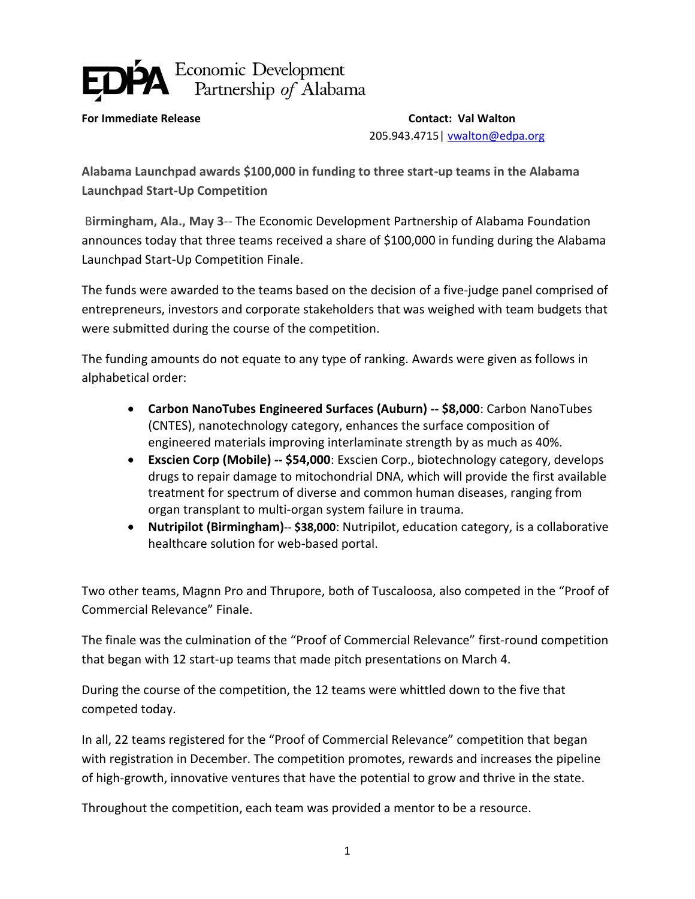## Economic Development<br>Partnership of Alabama

**For Immediate Release Contact: Val Walton** 205.943.4715| [vwalton@edpa.org](mailto:vwalton@edpa.org)

**Alabama Launchpad awards \$100,000 in funding to three start-up teams in the Alabama Launchpad Start-Up Competition**

B**irmingham, Ala., May 3**-- The Economic Development Partnership of Alabama Foundation announces today that three teams received a share of \$100,000 in funding during the Alabama Launchpad Start-Up Competition Finale.

The funds were awarded to the teams based on the decision of a five-judge panel comprised of entrepreneurs, investors and corporate stakeholders that was weighed with team budgets that were submitted during the course of the competition.

The funding amounts do not equate to any type of ranking. Awards were given as follows in alphabetical order:

- **Carbon NanoTubes Engineered Surfaces (Auburn) -- \$8,000**: Carbon NanoTubes (CNTES), nanotechnology category, enhances the surface composition of engineered materials improving interlaminate strength by as much as 40%.
- **Exscien Corp (Mobile) -- \$54,000**: Exscien Corp., biotechnology category, develops drugs to repair damage to mitochondrial DNA, which will provide the first available treatment for spectrum of diverse and common human diseases, ranging from organ transplant to multi-organ system failure in trauma.
- **Nutripilot (Birmingham)**-- **\$38,000**: Nutripilot, education category, is a collaborative healthcare solution for web-based portal.

Two other teams, Magnn Pro and Thrupore, both of Tuscaloosa, also competed in the "Proof of Commercial Relevance" Finale.

The finale was the culmination of the "Proof of Commercial Relevance" first-round competition that began with 12 start-up teams that made pitch presentations on March 4.

During the course of the competition, the 12 teams were whittled down to the five that competed today.

In all, 22 teams registered for the "Proof of Commercial Relevance" competition that began with registration in December. The competition promotes, rewards and increases the pipeline of high-growth, innovative ventures that have the potential to grow and thrive in the state.

Throughout the competition, each team was provided a mentor to be a resource.